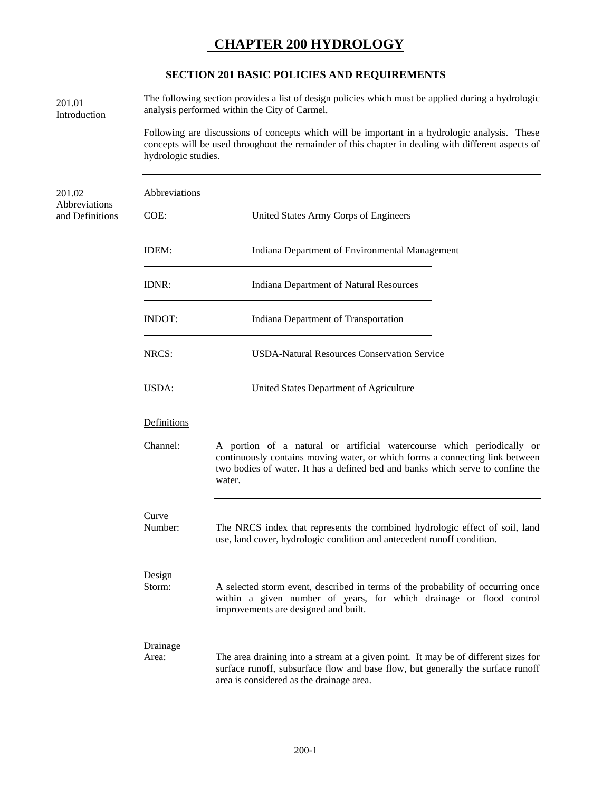# **CHAPTER 200 HYDROLOGY**

#### **SECTION 201 BASIC POLICIES AND REQUIREMENTS**

The following section provides a list of design policies which must be applied during a hydrologic 201.01 The following section provides a list of design<br>analysis performed within the City of Carmel. Introduction

> Following are discussions of concepts which will be important in a hydrologic analysis. These concepts will be used throughout the remainder of this chapter in dealing with different aspects of hydrologic studies.

| 201.02                           | Abbreviations |                                                             |  |  |  |  |
|----------------------------------|---------------|-------------------------------------------------------------|--|--|--|--|
| Abbreviations<br>and Definitions | $COE$ :       | United States Army Corps of Engineers                       |  |  |  |  |
|                                  | IDEM:         | Indiana Department of Environmental Management              |  |  |  |  |
|                                  | IDNR:         | Indiana Department of Natural Resources                     |  |  |  |  |
|                                  | <b>INDOT:</b> | Indiana Department of Transportation                        |  |  |  |  |
|                                  | NRCS:         | <b>USDA-Natural Resources Conservation Service</b>          |  |  |  |  |
|                                  | USDA:         | United States Department of Agriculture                     |  |  |  |  |
|                                  | Definitions   |                                                             |  |  |  |  |
|                                  | Channel:      | A portion of a natural or artificial watercourse which peri |  |  |  |  |

iodically or continuously contains moving water, or which forms a connecting link between two bodies of water. It has a defined bed and banks which serve to confine the water.

#### Curve

Number: The NRCS index that represents the combined hydrologic effect of soil, land use, land cover, hydrologic condition and antecedent runoff condition.

# Design

Storm: A selected storm event, described in terms of the probability of occurring once within a given number of years, for which drainage or flood control improvements are designed and built.

## Drainage

Area: The area draining into a stream at a given point. It may be of different sizes for surface runoff, subsurface flow and base flow, but generally the surface runoff area is considered as the drainage area.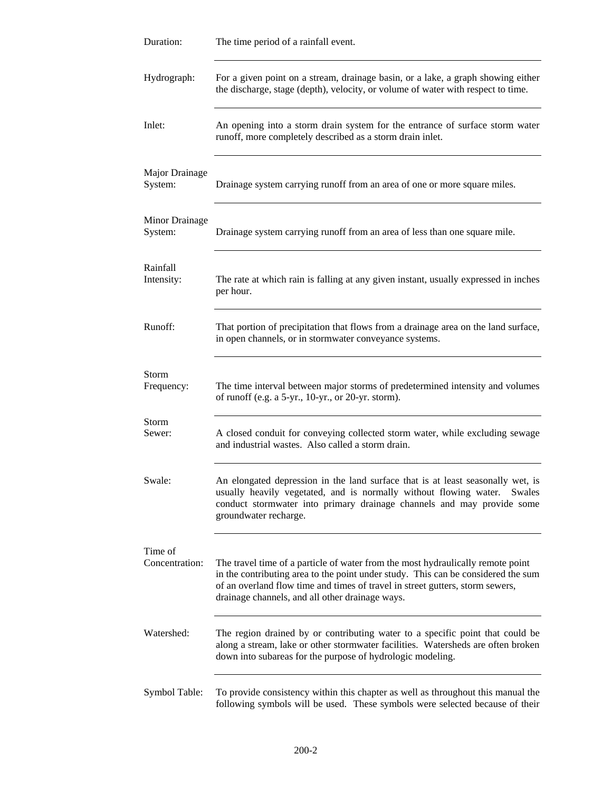| Duration:                        | The time period of a rainfall event.                                                                                                                                                                                                                                                                     |
|----------------------------------|----------------------------------------------------------------------------------------------------------------------------------------------------------------------------------------------------------------------------------------------------------------------------------------------------------|
| Hydrograph:                      | For a given point on a stream, drainage basin, or a lake, a graph showing either<br>the discharge, stage (depth), velocity, or volume of water with respect to time.                                                                                                                                     |
| Inlet:                           | An opening into a storm drain system for the entrance of surface storm water<br>runoff, more completely described as a storm drain inlet.                                                                                                                                                                |
| Major Drainage<br>System:        | Drainage system carrying runoff from an area of one or more square miles.                                                                                                                                                                                                                                |
| <b>Minor Drainage</b><br>System: | Drainage system carrying runoff from an area of less than one square mile.                                                                                                                                                                                                                               |
| Rainfall<br>Intensity:           | The rate at which rain is falling at any given instant, usually expressed in inches<br>per hour.                                                                                                                                                                                                         |
| Runoff:                          | That portion of precipitation that flows from a drainage area on the land surface,<br>in open channels, or in stormwater conveyance systems.                                                                                                                                                             |
| Storm<br>Frequency:              | The time interval between major storms of predetermined intensity and volumes<br>of runoff (e.g. a $5$ -yr., 10-yr., or 20-yr. storm).                                                                                                                                                                   |
| Storm<br>Sewer:                  | A closed conduit for conveying collected storm water, while excluding sewage<br>and industrial wastes. Also called a storm drain.                                                                                                                                                                        |
| Swale:                           | An elongated depression in the land surface that is at least seasonally wet, is<br>usually heavily vegetated, and is normally without flowing water. Swales<br>conduct stormwater into primary drainage channels and may provide some<br>groundwater recharge.                                           |
| Time of<br>Concentration:        | The travel time of a particle of water from the most hydraulically remote point<br>in the contributing area to the point under study. This can be considered the sum<br>of an overland flow time and times of travel in street gutters, storm sewers,<br>drainage channels, and all other drainage ways. |
| Watershed:                       | The region drained by or contributing water to a specific point that could be<br>along a stream, lake or other stormwater facilities. Watersheds are often broken<br>down into subareas for the purpose of hydrologic modeling.                                                                          |
| Symbol Table:                    | To provide consistency within this chapter as well as throughout this manual the<br>following symbols will be used. These symbols were selected because of their                                                                                                                                         |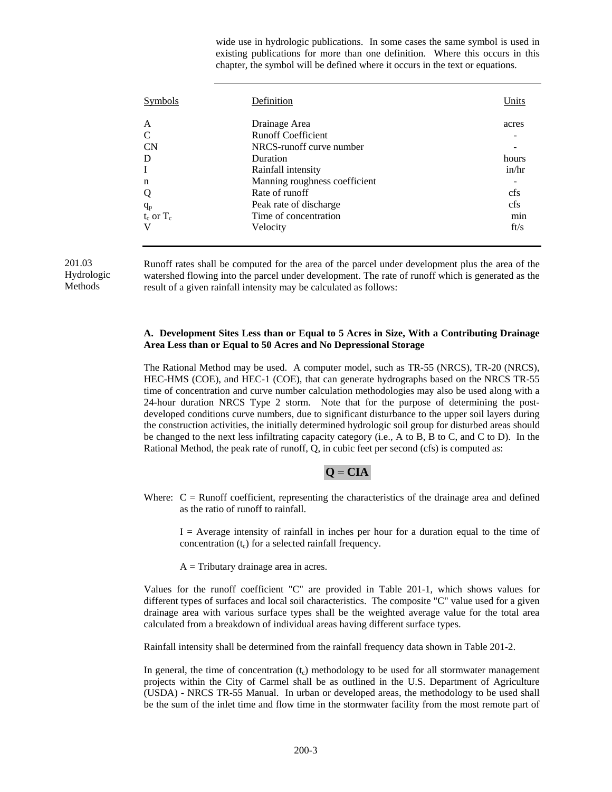wide use in hydrologic publications. In some cases the same symbol is used in existing publications for more than one definition. Where this occurs in this chapter, the symbol will be defined where it occurs in the text or equations.

| Definition                    | Units |
|-------------------------------|-------|
| Drainage Area                 | acres |
| <b>Runoff Coefficient</b>     |       |
| NRCS-runoff curve number      |       |
| Duration                      | hours |
| Rainfall intensity            | in/hr |
| Manning roughness coefficient |       |
| Rate of runoff                | cfs   |
| Peak rate of discharge        | cfs   |
| Time of concentration         | min   |
| Velocity                      | ft/s  |
|                               |       |

Hydrologic Methods

201.03 Runoff rates shall be computed for the area of the parcel under development plus the area of the watershed flowing into the parcel under development. The rate of runoff which is generated as the result of a given rainfall intensity may be calculated as follows:

#### **A. Development Sites Less than or Equal to 5 Acres in Size, With a Contributing Drainage Area Less than or Equal to 50 Acres and No Depressional Storage**

The Rational Method may be used. A computer model, such as TR-55 (NRCS), TR-20 (NRCS), HEC-HMS (COE), and HEC-1 (COE), that can generate hydrographs based on the NRCS TR-55 time of concentration and curve number calculation methodologies may also be used along with a 24-hour duration NRCS Type 2 storm. Note that for the purpose of determining the postdeveloped conditions curve numbers, due to significant disturbance to the upper soil layers during the construction activities, the initially determined hydrologic soil group for disturbed areas should be changed to the next less infiltrating capacity category (i.e., A to B, B to C, and C to D). In the Rational Method, the peak rate of runoff, Q, in cubic feet per second (cfs) is computed as:

#### $Q = CIA$

Where:  $C =$  Runoff coefficient, representing the characteristics of the drainage area and defined as the ratio of runoff to rainfall.

 $I =$  Average intensity of rainfall in inches per hour for a duration equal to the time of concentration  $(t_c)$  for a selected rainfall frequency.

 $A =$ Tributary drainage area in acres.

 Values for the runoff coefficient "C" are provided in Table 201-1, which shows values for different types of surfaces and local soil characteristics. The composite "C" value used for a given drainage area with various surface types shall be the weighted average value for the total area calculated from a breakdown of individual areas having different surface types.

Rainfall intensity shall be determined from the rainfall frequency data shown in Table 201-2.

In general, the time of concentration  $(t_c)$  methodology to be used for all stormwater management projects within the City of Carmel shall be as outlined in the U.S. Department of Agriculture (USDA) - NRCS TR-55 Manual. In urban or developed areas, the methodology to be used shall be the sum of the inlet time and flow time in the stormwater facility from the most remote part of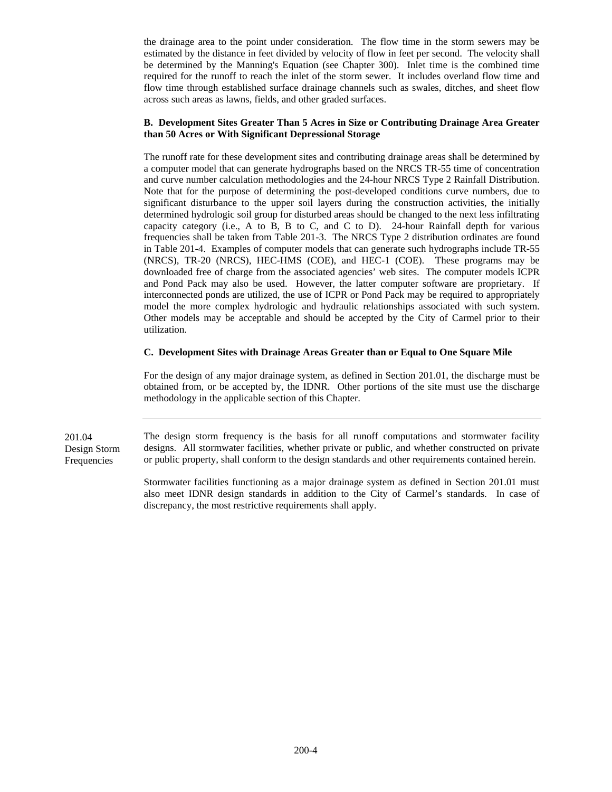the drainage area to the point under consideration. The flow time in the storm sewers may be estimated by the distance in feet divided by velocity of flow in feet per second. The velocity shall be determined by the Manning's Equation (see Chapter 300). Inlet time is the combined time required for the runoff to reach the inlet of the storm sewer. It includes overland flow time and flow time through established surface drainage channels such as swales, ditches, and sheet flow across such areas as lawns, fields, and other graded surfaces.

#### **B. Development Sites Greater Than 5 Acres in Size or Contributing Drainage Area Greater than 50 Acres or With Significant Depressional Storage**

The runoff rate for these development sites and contributing drainage areas shall be determined by a computer model that can generate hydrographs based on the NRCS TR-55 time of concentration and curve number calculation methodologies and the 24-hour NRCS Type 2 Rainfall Distribution. Note that for the purpose of determining the post-developed conditions curve numbers, due to significant disturbance to the upper soil layers during the construction activities, the initially determined hydrologic soil group for disturbed areas should be changed to the next less infiltrating capacity category (i.e., A to B, B to C, and C to D). 24-hour Rainfall depth for various frequencies shall be taken from Table 201-3. The NRCS Type 2 distribution ordinates are found in Table 201-4. Examples of computer models that can generate such hydrographs include TR-55 (NRCS), TR-20 (NRCS), HEC-HMS (COE), and HEC-1 (COE). These programs may be downloaded free of charge from the associated agencies' web sites. The computer models ICPR and Pond Pack may also be used. However, the latter computer software are proprietary. If interconnected ponds are utilized, the use of ICPR or Pond Pack may be required to appropriately model the more complex hydrologic and hydraulic relationships associated with such system. Other models may be acceptable and should be accepted by the City of Carmel prior to their utilization.

#### **C. Development Sites with Drainage Areas Greater than or Equal to One Square Mile**

For the design of any major drainage system, as defined in Section 201.01, the discharge must be obtained from, or be accepted by, the IDNR. Other portions of the site must use the discharge methodology in the applicable section of this Chapter.

201.04 Design Storm Frequencies

The design storm frequency is the basis for all runoff computations and stormwater facility designs. All stormwater facilities, whether private or public, and whether constructed on private or public property, shall conform to the design standards and other requirements contained herein.

Stormwater facilities functioning as a major drainage system as defined in Section 201.01 must also meet IDNR design standards in addition to the City of Carmel's standards. In case of discrepancy, the most restrictive requirements shall apply.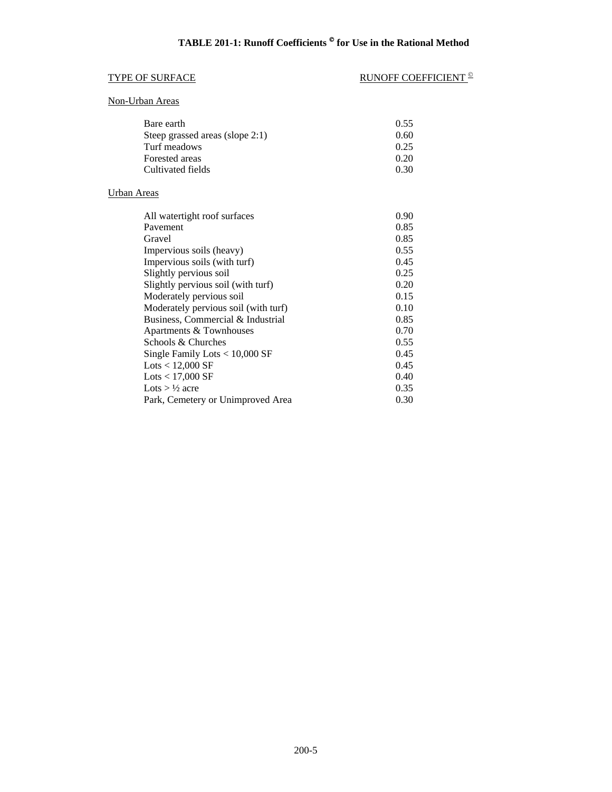# TYPE OF SURFACE RUNOFF COEFFICIENT  $^{\circ}$

#### Non-Urban Areas

| Bare earth                      | 0.55 |
|---------------------------------|------|
| Steep grassed areas (slope 2:1) | 0.60 |
| Turf meadows                    | 0.25 |
| Forested areas                  | 0.20 |
| Cultivated fields               | 0.30 |

### Urban Areas

| All watertight roof surfaces         | 0.90 |
|--------------------------------------|------|
| Pavement                             | 0.85 |
| Gravel                               | 0.85 |
| Impervious soils (heavy)             | 0.55 |
| Impervious soils (with turf)         | 0.45 |
| Slightly pervious soil               | 0.25 |
| Slightly pervious soil (with turf)   | 0.20 |
| Moderately pervious soil             | 0.15 |
| Moderately pervious soil (with turf) | 0.10 |
| Business, Commercial & Industrial    | 0.85 |
| Apartments & Townhouses              | 0.70 |
| Schools & Churches                   | 0.55 |
| Single Family Lots $< 10,000$ SF     | 0.45 |
| $\text{Lots} < 12,000 \text{ SF}$    | 0.45 |
| Lots $<$ 17,000 SF                   | 0.40 |
| Lots $> 1/2$ acre                    | 0.35 |
| Park, Cemetery or Unimproved Area    | 0.30 |
|                                      |      |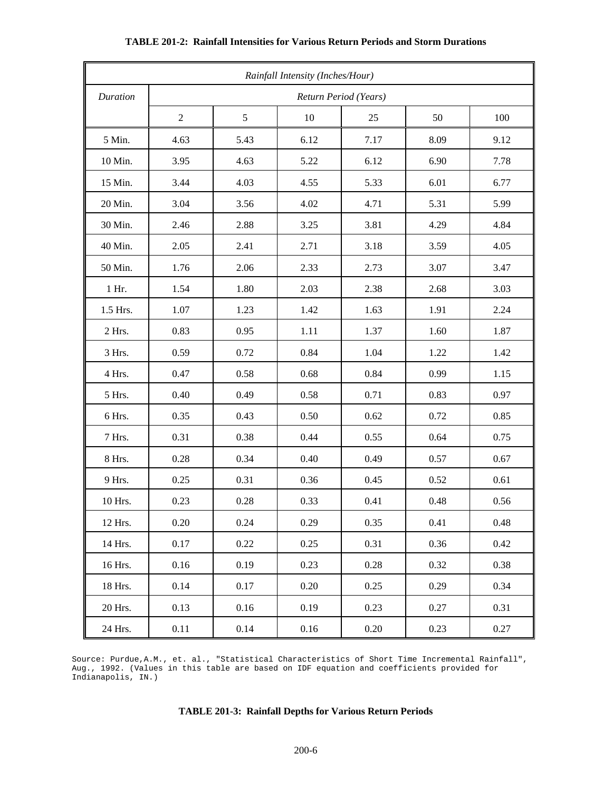| Rainfall Intensity (Inches/Hour) |                       |      |          |          |      |      |
|----------------------------------|-----------------------|------|----------|----------|------|------|
| Duration                         | Return Period (Years) |      |          |          |      |      |
|                                  | $\overline{2}$        | 5    | 10       | 25       | 50   | 100  |
| 5 Min.                           | 4.63                  | 5.43 | 6.12     | 7.17     | 8.09 | 9.12 |
| 10 Min.                          | 3.95                  | 4.63 | 5.22     | 6.12     | 6.90 | 7.78 |
| 15 Min.                          | 3.44                  | 4.03 | 4.55     | 5.33     | 6.01 | 6.77 |
| 20 Min.                          | 3.04                  | 3.56 | 4.02     | 4.71     | 5.31 | 5.99 |
| 30 Min.                          | 2.46                  | 2.88 | 3.25     | 3.81     | 4.29 | 4.84 |
| 40 Min.                          | 2.05                  | 2.41 | 2.71     | 3.18     | 3.59 | 4.05 |
| 50 Min.                          | 1.76                  | 2.06 | 2.33     | 2.73     | 3.07 | 3.47 |
| $1$ Hr.                          | 1.54                  | 1.80 | 2.03     | 2.38     | 2.68 | 3.03 |
| 1.5 Hrs.                         | 1.07                  | 1.23 | 1.42     | 1.63     | 1.91 | 2.24 |
| 2 Hrs.                           | 0.83                  | 0.95 | 1.11     | 1.37     | 1.60 | 1.87 |
| 3 Hrs.                           | 0.59                  | 0.72 | 0.84     | 1.04     | 1.22 | 1.42 |
| 4 Hrs.                           | 0.47                  | 0.58 | 0.68     | 0.84     | 0.99 | 1.15 |
| 5 Hrs.                           | 0.40                  | 0.49 | 0.58     | 0.71     | 0.83 | 0.97 |
| 6 Hrs.                           | 0.35                  | 0.43 | 0.50     | 0.62     | 0.72 | 0.85 |
| 7 Hrs.                           | 0.31                  | 0.38 | 0.44     | 0.55     | 0.64 | 0.75 |
| 8 Hrs.                           | 0.28                  | 0.34 | 0.40     | 0.49     | 0.57 | 0.67 |
| 9 Hrs.                           | 0.25                  | 0.31 | 0.36     | 0.45     | 0.52 | 0.61 |
| 10 Hrs.                          | 0.23                  | 0.28 | 0.33     | 0.41     | 0.48 | 0.56 |
| 12 Hrs.                          | 0.20                  | 0.24 | 0.29     | 0.35     | 0.41 | 0.48 |
| 14 Hrs.                          | 0.17                  | 0.22 | 0.25     | 0.31     | 0.36 | 0.42 |
| 16 Hrs.                          | 0.16                  | 0.19 | 0.23     | $0.28\,$ | 0.32 | 0.38 |
| 18 Hrs.                          | 0.14                  | 0.17 | 0.20     | 0.25     | 0.29 | 0.34 |
| 20 Hrs.                          | 0.13                  | 0.16 | 0.19     | 0.23     | 0.27 | 0.31 |
| 24 Hrs.                          | $0.11\,$              | 0.14 | $0.16\,$ | $0.20\,$ | 0.23 | 0.27 |

#### **TABLE 201-2: Rainfall Intensities for Various Return Periods and Storm Durations**

Source: Purdue,A.M., et. al., "Statistical Characteristics of Short Time Incremental Rainfall", Aug., 1992. (Values in this table are based on IDF equation and coefficients provided for Indianapolis, IN.)

#### **TABLE 201-3: Rainfall Depths for Various Return Periods**